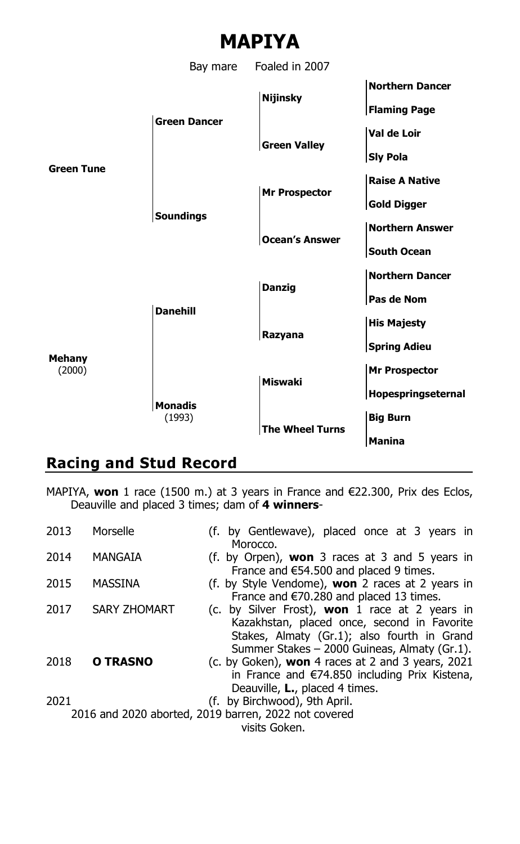

## **Racing and Stud Record**

MAPIYA, **won** 1 race (1500 m.) at 3 years in France and €22.300, Prix des Eclos, Deauville and placed 3 times; dam of **4 winners**-

| 2013 | Morselle            | (f. by Gentlewave), placed once at 3 years in           |
|------|---------------------|---------------------------------------------------------|
|      |                     | Morocco.                                                |
| 2014 | MANGAIA             | (f. by Orpen), <b>won</b> 3 races at 3 and 5 years in   |
|      |                     | France and $€54.500$ and placed 9 times.                |
| 2015 | MASSINA             | (f. by Style Vendome), <b>won</b> 2 races at 2 years in |
|      |                     | France and $\epsilon$ 70.280 and placed 13 times.       |
| 2017 | <b>SARY ZHOMART</b> | (c. by Silver Frost), <b>won</b> 1 race at 2 years in   |
|      |                     | Kazakhstan, placed once, second in Favorite             |
|      |                     | Stakes, Almaty (Gr.1); also fourth in Grand             |
|      |                     | Summer Stakes - 2000 Guineas, Almaty (Gr.1).            |
| 2018 | O TRASNO            | (c. by Goken), won 4 races at 2 and 3 years, 2021       |
|      |                     | in France and $\epsilon$ 74.850 including Prix Kistena, |
|      |                     | Deauville, L., placed 4 times.                          |
| 2021 |                     | (f. by Birchwood), 9th April.                           |
|      |                     | 2016 and 2020 aborted, 2019 barren, 2022 not covered    |
|      |                     | visits Goken.                                           |
|      |                     |                                                         |